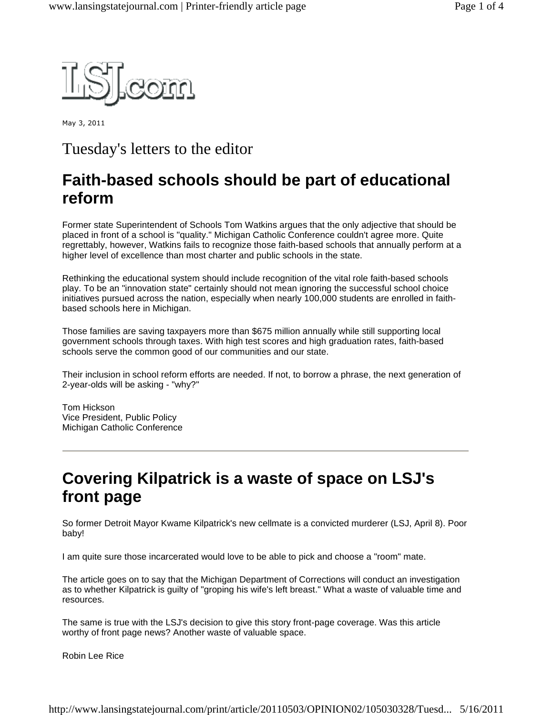

May 3, 2011

#### Tuesday's letters to the editor

# **Faith-based schools should be part of educational reform**

Former state Superintendent of Schools Tom Watkins argues that the only adjective that should be placed in front of a school is "quality." Michigan Catholic Conference couldn't agree more. Quite regrettably, however, Watkins fails to recognize those faith-based schools that annually perform at a higher level of excellence than most charter and public schools in the state.

Rethinking the educational system should include recognition of the vital role faith-based schools play. To be an "innovation state" certainly should not mean ignoring the successful school choice initiatives pursued across the nation, especially when nearly 100,000 students are enrolled in faithbased schools here in Michigan.

Those families are saving taxpayers more than \$675 million annually while still supporting local government schools through taxes. With high test scores and high graduation rates, faith-based schools serve the common good of our communities and our state.

Their inclusion in school reform efforts are needed. If not, to borrow a phrase, the next generation of 2-year-olds will be asking - "why?"

Tom Hickson Vice President, Public Policy Michigan Catholic Conference

## **Covering Kilpatrick is a waste of space on LSJ's front page**

So former Detroit Mayor Kwame Kilpatrick's new cellmate is a convicted murderer (LSJ, April 8). Poor baby!

I am quite sure those incarcerated would love to be able to pick and choose a "room" mate.

The article goes on to say that the Michigan Department of Corrections will conduct an investigation as to whether Kilpatrick is guilty of "groping his wife's left breast." What a waste of valuable time and resources.

The same is true with the LSJ's decision to give this story front-page coverage. Was this article worthy of front page news? Another waste of valuable space.

Robin Lee Rice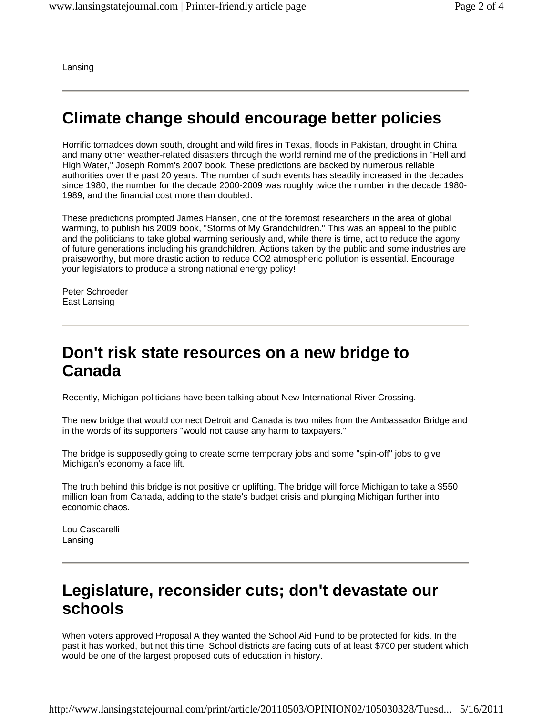Lansing

#### **Climate change should encourage better policies**

Horrific tornadoes down south, drought and wild fires in Texas, floods in Pakistan, drought in China and many other weather-related disasters through the world remind me of the predictions in "Hell and High Water," Joseph Romm's 2007 book. These predictions are backed by numerous reliable authorities over the past 20 years. The number of such events has steadily increased in the decades since 1980; the number for the decade 2000-2009 was roughly twice the number in the decade 1980- 1989, and the financial cost more than doubled.

These predictions prompted James Hansen, one of the foremost researchers in the area of global warming, to publish his 2009 book, "Storms of My Grandchildren." This was an appeal to the public and the politicians to take global warming seriously and, while there is time, act to reduce the agony of future generations including his grandchildren. Actions taken by the public and some industries are praiseworthy, but more drastic action to reduce CO2 atmospheric pollution is essential. Encourage your legislators to produce a strong national energy policy!

Peter Schroeder East Lansing

#### **Don't risk state resources on a new bridge to Canada**

Recently, Michigan politicians have been talking about New International River Crossing.

The new bridge that would connect Detroit and Canada is two miles from the Ambassador Bridge and in the words of its supporters "would not cause any harm to taxpayers."

The bridge is supposedly going to create some temporary jobs and some "spin-off" jobs to give Michigan's economy a face lift.

The truth behind this bridge is not positive or uplifting. The bridge will force Michigan to take a \$550 million loan from Canada, adding to the state's budget crisis and plunging Michigan further into economic chaos.

Lou Cascarelli Lansing

#### **Legislature, reconsider cuts; don't devastate our schools**

When voters approved Proposal A they wanted the School Aid Fund to be protected for kids. In the past it has worked, but not this time. School districts are facing cuts of at least \$700 per student which would be one of the largest proposed cuts of education in history.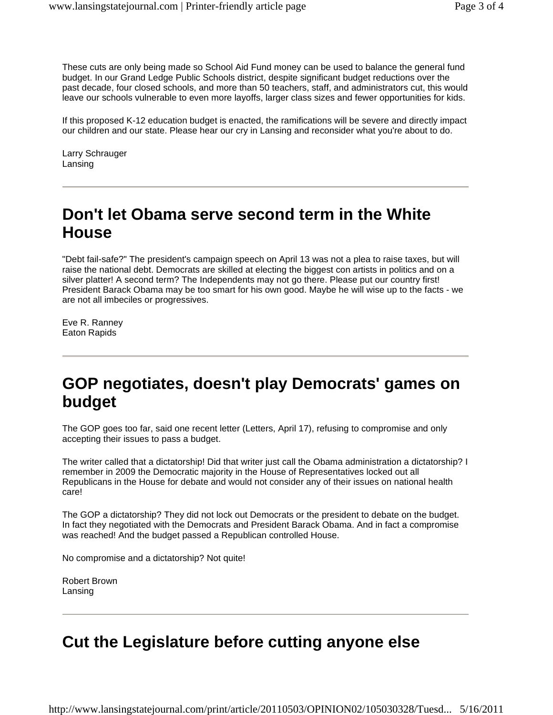These cuts are only being made so School Aid Fund money can be used to balance the general fund budget. In our Grand Ledge Public Schools district, despite significant budget reductions over the past decade, four closed schools, and more than 50 teachers, staff, and administrators cut, this would leave our schools vulnerable to even more layoffs, larger class sizes and fewer opportunities for kids.

If this proposed K-12 education budget is enacted, the ramifications will be severe and directly impact our children and our state. Please hear our cry in Lansing and reconsider what you're about to do.

Larry Schrauger Lansing

## **Don't let Obama serve second term in the White House**

"Debt fail-safe?" The president's campaign speech on April 13 was not a plea to raise taxes, but will raise the national debt. Democrats are skilled at electing the biggest con artists in politics and on a silver platter! A second term? The Independents may not go there. Please put our country first! President Barack Obama may be too smart for his own good. Maybe he will wise up to the facts - we are not all imbeciles or progressives.

Eve R. Ranney Eaton Rapids

# **GOP negotiates, doesn't play Democrats' games on budget**

The GOP goes too far, said one recent letter (Letters, April 17), refusing to compromise and only accepting their issues to pass a budget.

The writer called that a dictatorship! Did that writer just call the Obama administration a dictatorship? I remember in 2009 the Democratic majority in the House of Representatives locked out all Republicans in the House for debate and would not consider any of their issues on national health care!

The GOP a dictatorship? They did not lock out Democrats or the president to debate on the budget. In fact they negotiated with the Democrats and President Barack Obama. And in fact a compromise was reached! And the budget passed a Republican controlled House.

No compromise and a dictatorship? Not quite!

Robert Brown Lansing

# **Cut the Legislature before cutting anyone else**

http://www.lansingstatejournal.com/print/article/20110503/OPINION02/105030328/Tuesd... 5/16/2011